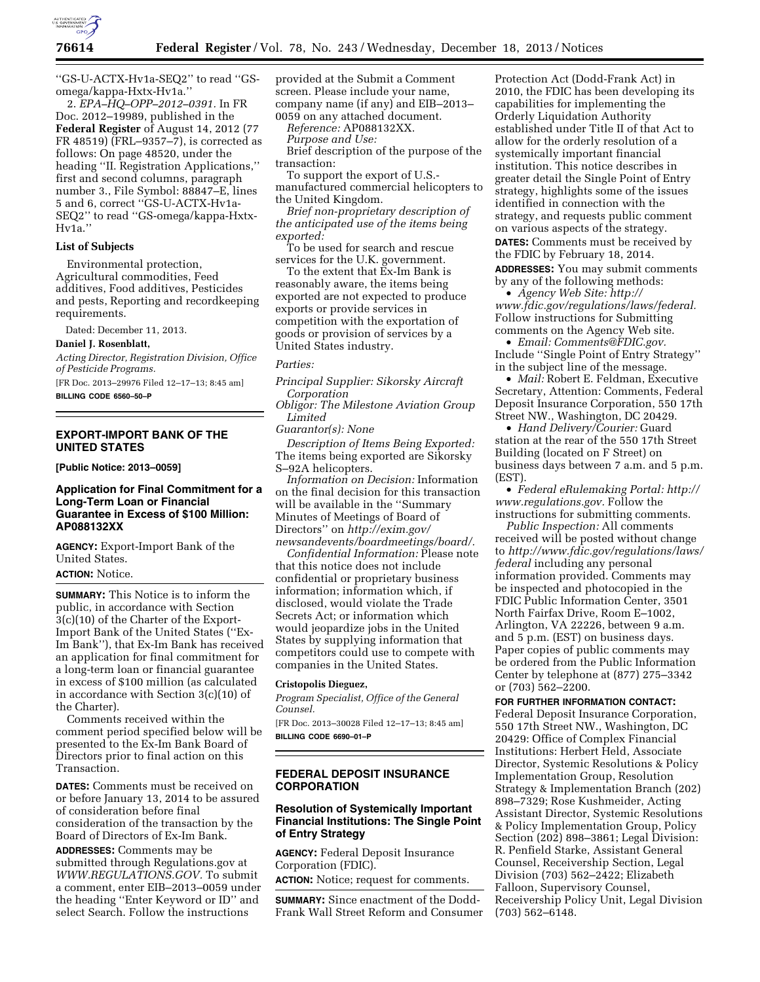

''GS-U-ACTX-Hv1a-SEQ2'' to read ''GSomega/kappa-Hxtx-Hv1a.''

2. *EPA–HQ–OPP–2012–0391.* In FR Doc. 2012–19989, published in the **Federal Register** of August 14, 2012 (77 FR 48519) (FRL–9357–7), is corrected as follows: On page 48520, under the heading ''II. Registration Applications,'' first and second columns, paragraph number 3., File Symbol: 88847–E, lines 5 and 6, correct ''GS-U-ACTX-Hv1a-SEQ2'' to read ''GS-omega/kappa-Hxtx-Hv1a.''

## **List of Subjects**

Environmental protection, Agricultural commodities, Feed additives, Food additives, Pesticides and pests, Reporting and recordkeeping requirements.

Dated: December 11, 2013.

## **Daniel J. Rosenblatt,**

*Acting Director, Registration Division, Office of Pesticide Programs.* 

[FR Doc. 2013–29976 Filed 12–17–13; 8:45 am] **BILLING CODE 6560–50–P** 

## **EXPORT-IMPORT BANK OF THE UNITED STATES**

**[Public Notice: 2013–0059]** 

## **Application for Final Commitment for a Long-Term Loan or Financial Guarantee in Excess of \$100 Million: AP088132XX**

**AGENCY:** Export-Import Bank of the United States.

## **ACTION:** Notice.

**SUMMARY:** This Notice is to inform the public, in accordance with Section 3(c)(10) of the Charter of the Export-Import Bank of the United States (''Ex-Im Bank''), that Ex-Im Bank has received an application for final commitment for a long-term loan or financial guarantee in excess of \$100 million (as calculated in accordance with Section 3(c)(10) of the Charter).

Comments received within the comment period specified below will be presented to the Ex-Im Bank Board of Directors prior to final action on this Transaction.

**DATES:** Comments must be received on or before January 13, 2014 to be assured of consideration before final consideration of the transaction by the Board of Directors of Ex-Im Bank.

**ADDRESSES:** Comments may be submitted through Regulations.gov at *WWW.REGULATIONS.GOV.* To submit a comment, enter EIB–2013–0059 under the heading ''Enter Keyword or ID'' and select Search. Follow the instructions

provided at the Submit a Comment screen. Please include your name, company name (if any) and EIB–2013– 0059 on any attached document.

*Reference:* AP088132XX.

*Purpose and Use:* 

Brief description of the purpose of the transaction:

To support the export of U.S. manufactured commercial helicopters to the United Kingdom.

*Brief non-proprietary description of the anticipated use of the items being exported:* 

To be used for search and rescue services for the U.K. government.

To the extent that Ex-Im Bank is reasonably aware, the items being exported are not expected to produce exports or provide services in competition with the exportation of goods or provision of services by a United States industry.

#### *Parties:*

*Principal Supplier: Sikorsky Aircraft Corporation* 

*Obligor: The Milestone Aviation Group Limited* 

*Guarantor(s): None* 

*Description of Items Being Exported:*  The items being exported are Sikorsky S–92A helicopters.

*Information on Decision:* Information on the final decision for this transaction will be available in the ''Summary Minutes of Meetings of Board of Directors'' on *[http://exim.gov/](http://exim.gov/newsandevents/boardmeetings/board/) [newsandevents/boardmeetings/board/.](http://exim.gov/newsandevents/boardmeetings/board/)* 

*Confidential Information:* Please note that this notice does not include confidential or proprietary business information; information which, if disclosed, would violate the Trade Secrets Act; or information which would jeopardize jobs in the United States by supplying information that competitors could use to compete with companies in the United States.

## **Cristopolis Dieguez,**

*Program Specialist, Office of the General Counsel.* 

[FR Doc. 2013–30028 Filed 12–17–13; 8:45 am] **BILLING CODE 6690–01–P** 

## **FEDERAL DEPOSIT INSURANCE CORPORATION**

## **Resolution of Systemically Important Financial Institutions: The Single Point of Entry Strategy**

**AGENCY:** Federal Deposit Insurance Corporation (FDIC). **ACTION:** Notice; request for comments.

**SUMMARY:** Since enactment of the Dodd-Frank Wall Street Reform and Consumer Protection Act (Dodd-Frank Act) in 2010, the FDIC has been developing its capabilities for implementing the Orderly Liquidation Authority established under Title II of that Act to allow for the orderly resolution of a systemically important financial institution. This notice describes in greater detail the Single Point of Entry strategy, highlights some of the issues identified in connection with the strategy, and requests public comment on various aspects of the strategy.

**DATES:** Comments must be received by the FDIC by February 18, 2014.

**ADDRESSES:** You may submit comments by any of the following methods:

• *Agency Web Site: [http://](http://www.fdic.gov/regulations/laws/federal) [www.fdic.gov/regulations/laws/federal.](http://www.fdic.gov/regulations/laws/federal)*  Follow instructions for Submitting comments on the Agency Web site.

• *Email: [Comments@FDIC.gov.](mailto:Comments@FDIC.gov)*  Include ''Single Point of Entry Strategy'' in the subject line of the message.

• *Mail:* Robert E. Feldman, Executive Secretary, Attention: Comments, Federal Deposit Insurance Corporation, 550 17th Street NW., Washington, DC 20429.

• *Hand Delivery/Courier:* Guard station at the rear of the 550 17th Street Building (located on F Street) on business days between 7 a.m. and 5 p.m. (EST).

• *Federal eRulemaking Portal: [http://](http://www.regulations.gov)  [www.regulations.gov.](http://www.regulations.gov)* Follow the instructions for submitting comments.

*Public Inspection:* All comments received will be posted without change to *[http://www.fdic.gov/regulations/laws/](http://www.fdic.gov/regulations/laws/federal)  [federal](http://www.fdic.gov/regulations/laws/federal)* including any personal information provided. Comments may be inspected and photocopied in the FDIC Public Information Center, 3501 North Fairfax Drive, Room E–1002, Arlington, VA 22226, between 9 a.m. and 5 p.m. (EST) on business days. Paper copies of public comments may be ordered from the Public Information Center by telephone at (877) 275–3342 or  $(703)$  562–2200.

**FOR FURTHER INFORMATION CONTACT:** 

Federal Deposit Insurance Corporation, 550 17th Street NW., Washington, DC 20429: Office of Complex Financial Institutions: Herbert Held, Associate Director, Systemic Resolutions & Policy Implementation Group, Resolution Strategy & Implementation Branch (202) 898–7329; Rose Kushmeider, Acting Assistant Director, Systemic Resolutions & Policy Implementation Group, Policy Section (202) 898–3861; Legal Division: R. Penfield Starke, Assistant General Counsel, Receivership Section, Legal Division (703) 562–2422; Elizabeth Falloon, Supervisory Counsel, Receivership Policy Unit, Legal Division (703) 562–6148.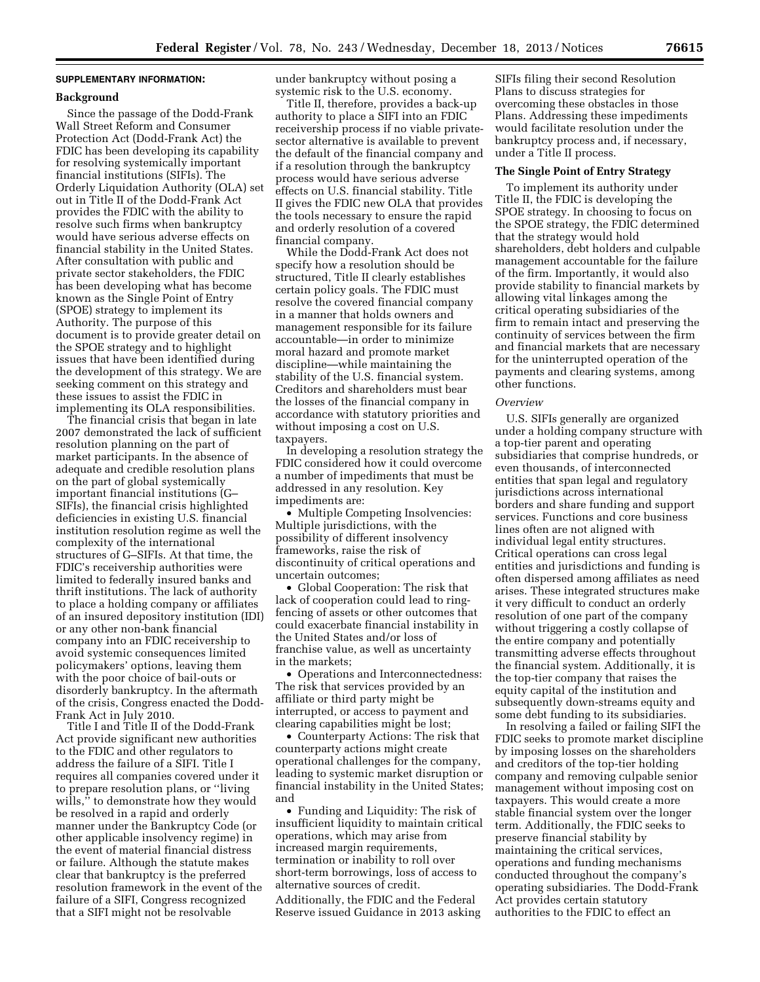## **SUPPLEMENTARY INFORMATION:**

#### **Background**

Since the passage of the Dodd-Frank Wall Street Reform and Consumer Protection Act (Dodd-Frank Act) the FDIC has been developing its capability for resolving systemically important financial institutions (SIFIs). The Orderly Liquidation Authority (OLA) set out in Title II of the Dodd-Frank Act provides the FDIC with the ability to resolve such firms when bankruptcy would have serious adverse effects on financial stability in the United States. After consultation with public and private sector stakeholders, the FDIC has been developing what has become known as the Single Point of Entry (SPOE) strategy to implement its Authority. The purpose of this document is to provide greater detail on the SPOE strategy and to highlight issues that have been identified during the development of this strategy. We are seeking comment on this strategy and these issues to assist the FDIC in implementing its OLA responsibilities.

The financial crisis that began in late 2007 demonstrated the lack of sufficient resolution planning on the part of market participants. In the absence of adequate and credible resolution plans on the part of global systemically important financial institutions (G– SIFIs), the financial crisis highlighted deficiencies in existing U.S. financial institution resolution regime as well the complexity of the international structures of G–SIFIs. At that time, the FDIC's receivership authorities were limited to federally insured banks and thrift institutions. The lack of authority to place a holding company or affiliates of an insured depository institution (IDI) or any other non-bank financial company into an FDIC receivership to avoid systemic consequences limited policymakers' options, leaving them with the poor choice of bail-outs or disorderly bankruptcy. In the aftermath of the crisis, Congress enacted the Dodd-Frank Act in July 2010.

Title I and Title II of the Dodd-Frank Act provide significant new authorities to the FDIC and other regulators to address the failure of a SIFI. Title I requires all companies covered under it to prepare resolution plans, or ''living wills,'' to demonstrate how they would be resolved in a rapid and orderly manner under the Bankruptcy Code (or other applicable insolvency regime) in the event of material financial distress or failure. Although the statute makes clear that bankruptcy is the preferred resolution framework in the event of the failure of a SIFI, Congress recognized that a SIFI might not be resolvable

under bankruptcy without posing a systemic risk to the U.S. economy.

Title II, therefore, provides a back-up authority to place a SIFI into an FDIC receivership process if no viable privatesector alternative is available to prevent the default of the financial company and if a resolution through the bankruptcy process would have serious adverse effects on U.S. financial stability. Title II gives the FDIC new OLA that provides the tools necessary to ensure the rapid and orderly resolution of a covered financial company.

While the Dodd-Frank Act does not specify how a resolution should be structured, Title II clearly establishes certain policy goals. The FDIC must resolve the covered financial company in a manner that holds owners and management responsible for its failure accountable—in order to minimize moral hazard and promote market discipline—while maintaining the stability of the U.S. financial system. Creditors and shareholders must bear the losses of the financial company in accordance with statutory priorities and without imposing a cost on U.S. taxpayers.

In developing a resolution strategy the FDIC considered how it could overcome a number of impediments that must be addressed in any resolution. Key impediments are:

• Multiple Competing Insolvencies: Multiple jurisdictions, with the possibility of different insolvency frameworks, raise the risk of discontinuity of critical operations and uncertain outcomes;

• Global Cooperation: The risk that lack of cooperation could lead to ringfencing of assets or other outcomes that could exacerbate financial instability in the United States and/or loss of franchise value, as well as uncertainty in the markets;

• Operations and Interconnectedness: The risk that services provided by an affiliate or third party might be interrupted, or access to payment and clearing capabilities might be lost;

• Counterparty Actions: The risk that counterparty actions might create operational challenges for the company, leading to systemic market disruption or financial instability in the United States; and

• Funding and Liquidity: The risk of insufficient liquidity to maintain critical operations, which may arise from increased margin requirements, termination or inability to roll over short-term borrowings, loss of access to alternative sources of credit.

Additionally, the FDIC and the Federal Reserve issued Guidance in 2013 asking

SIFIs filing their second Resolution Plans to discuss strategies for overcoming these obstacles in those Plans. Addressing these impediments would facilitate resolution under the bankruptcy process and, if necessary, under a Title II process.

#### **The Single Point of Entry Strategy**

To implement its authority under Title II, the FDIC is developing the SPOE strategy. In choosing to focus on the SPOE strategy, the FDIC determined that the strategy would hold shareholders, debt holders and culpable management accountable for the failure of the firm. Importantly, it would also provide stability to financial markets by allowing vital linkages among the critical operating subsidiaries of the firm to remain intact and preserving the continuity of services between the firm and financial markets that are necessary for the uninterrupted operation of the payments and clearing systems, among other functions.

#### *Overview*

U.S. SIFIs generally are organized under a holding company structure with a top-tier parent and operating subsidiaries that comprise hundreds, or even thousands, of interconnected entities that span legal and regulatory jurisdictions across international borders and share funding and support services. Functions and core business lines often are not aligned with individual legal entity structures. Critical operations can cross legal entities and jurisdictions and funding is often dispersed among affiliates as need arises. These integrated structures make it very difficult to conduct an orderly resolution of one part of the company without triggering a costly collapse of the entire company and potentially transmitting adverse effects throughout the financial system. Additionally, it is the top-tier company that raises the equity capital of the institution and subsequently down-streams equity and some debt funding to its subsidiaries.

In resolving a failed or failing SIFI the FDIC seeks to promote market discipline by imposing losses on the shareholders and creditors of the top-tier holding company and removing culpable senior management without imposing cost on taxpayers. This would create a more stable financial system over the longer term. Additionally, the FDIC seeks to preserve financial stability by maintaining the critical services, operations and funding mechanisms conducted throughout the company's operating subsidiaries. The Dodd-Frank Act provides certain statutory authorities to the FDIC to effect an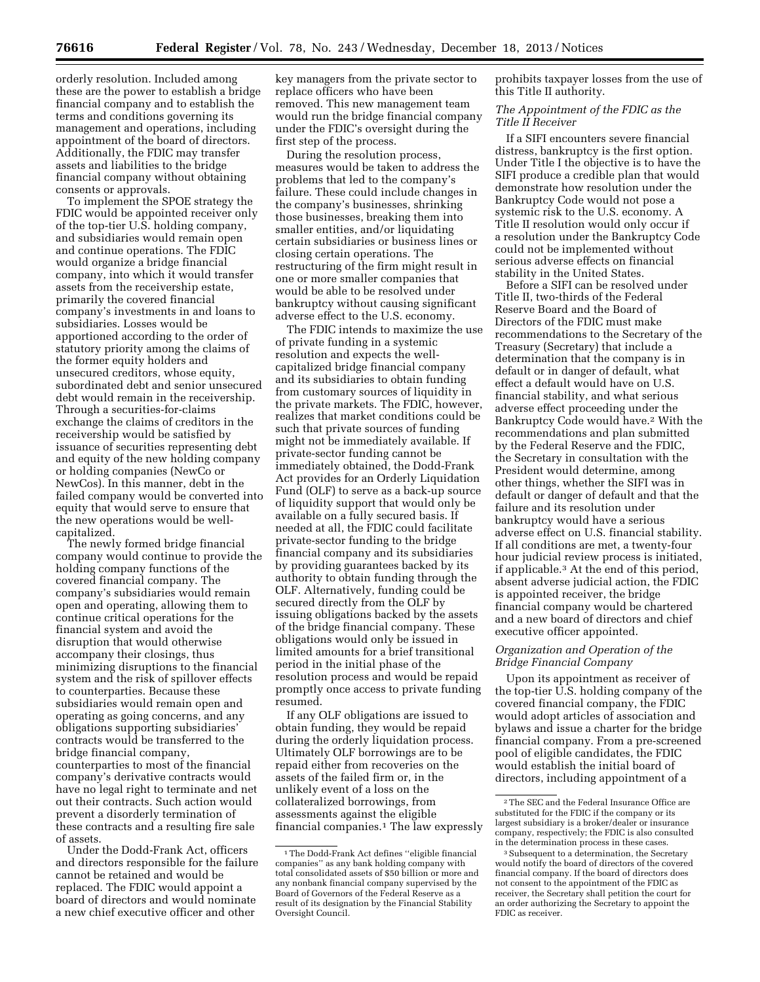orderly resolution. Included among these are the power to establish a bridge financial company and to establish the terms and conditions governing its management and operations, including appointment of the board of directors. Additionally, the FDIC may transfer assets and liabilities to the bridge

financial company without obtaining

consents or approvals. To implement the SPOE strategy the FDIC would be appointed receiver only of the top-tier U.S. holding company, and subsidiaries would remain open and continue operations. The FDIC would organize a bridge financial company, into which it would transfer assets from the receivership estate, primarily the covered financial company's investments in and loans to subsidiaries. Losses would be apportioned according to the order of statutory priority among the claims of the former equity holders and unsecured creditors, whose equity, subordinated debt and senior unsecured debt would remain in the receivership. Through a securities-for-claims exchange the claims of creditors in the receivership would be satisfied by issuance of securities representing debt and equity of the new holding company or holding companies (NewCo or NewCos). In this manner, debt in the failed company would be converted into equity that would serve to ensure that the new operations would be wellcapitalized.

The newly formed bridge financial company would continue to provide the holding company functions of the covered financial company. The company's subsidiaries would remain open and operating, allowing them to continue critical operations for the financial system and avoid the disruption that would otherwise accompany their closings, thus minimizing disruptions to the financial system and the risk of spillover effects to counterparties. Because these subsidiaries would remain open and operating as going concerns, and any obligations supporting subsidiaries' contracts would be transferred to the bridge financial company, counterparties to most of the financial company's derivative contracts would have no legal right to terminate and net out their contracts. Such action would prevent a disorderly termination of these contracts and a resulting fire sale of assets.

Under the Dodd-Frank Act, officers and directors responsible for the failure cannot be retained and would be replaced. The FDIC would appoint a board of directors and would nominate a new chief executive officer and other

key managers from the private sector to replace officers who have been removed. This new management team would run the bridge financial company under the FDIC's oversight during the first step of the process.

During the resolution process, measures would be taken to address the problems that led to the company's failure. These could include changes in the company's businesses, shrinking those businesses, breaking them into smaller entities, and/or liquidating certain subsidiaries or business lines or closing certain operations. The restructuring of the firm might result in one or more smaller companies that would be able to be resolved under bankruptcy without causing significant adverse effect to the U.S. economy.

The FDIC intends to maximize the use of private funding in a systemic resolution and expects the wellcapitalized bridge financial company and its subsidiaries to obtain funding from customary sources of liquidity in the private markets. The FDIC, however, realizes that market conditions could be such that private sources of funding might not be immediately available. If private-sector funding cannot be immediately obtained, the Dodd-Frank Act provides for an Orderly Liquidation Fund (OLF) to serve as a back-up source of liquidity support that would only be available on a fully secured basis. If needed at all, the FDIC could facilitate private-sector funding to the bridge financial company and its subsidiaries by providing guarantees backed by its authority to obtain funding through the OLF. Alternatively, funding could be secured directly from the OLF by issuing obligations backed by the assets of the bridge financial company. These obligations would only be issued in limited amounts for a brief transitional period in the initial phase of the resolution process and would be repaid promptly once access to private funding resumed.

If any OLF obligations are issued to obtain funding, they would be repaid during the orderly liquidation process. Ultimately OLF borrowings are to be repaid either from recoveries on the assets of the failed firm or, in the unlikely event of a loss on the collateralized borrowings, from assessments against the eligible financial companies.1 The law expressly prohibits taxpayer losses from the use of this Title II authority.

## *The Appointment of the FDIC as the Title II Receiver*

If a SIFI encounters severe financial distress, bankruptcy is the first option. Under Title I the objective is to have the SIFI produce a credible plan that would demonstrate how resolution under the Bankruptcy Code would not pose a systemic risk to the U.S. economy. A Title II resolution would only occur if a resolution under the Bankruptcy Code could not be implemented without serious adverse effects on financial stability in the United States.

Before a SIFI can be resolved under Title II, two-thirds of the Federal Reserve Board and the Board of Directors of the FDIC must make recommendations to the Secretary of the Treasury (Secretary) that include a determination that the company is in default or in danger of default, what effect a default would have on U.S. financial stability, and what serious adverse effect proceeding under the Bankruptcy Code would have.2 With the recommendations and plan submitted by the Federal Reserve and the FDIC, the Secretary in consultation with the President would determine, among other things, whether the SIFI was in default or danger of default and that the failure and its resolution under bankruptcy would have a serious adverse effect on U.S. financial stability. If all conditions are met, a twenty-four hour judicial review process is initiated, if applicable.3 At the end of this period, absent adverse judicial action, the FDIC is appointed receiver, the bridge financial company would be chartered and a new board of directors and chief executive officer appointed.

## *Organization and Operation of the Bridge Financial Company*

Upon its appointment as receiver of the top-tier U.S. holding company of the covered financial company, the FDIC would adopt articles of association and bylaws and issue a charter for the bridge financial company. From a pre-screened pool of eligible candidates, the FDIC would establish the initial board of directors, including appointment of a

<sup>1</sup>The Dodd-Frank Act defines ''eligible financial companies'' as any bank holding company with total consolidated assets of \$50 billion or more and any nonbank financial company supervised by the Board of Governors of the Federal Reserve as a result of its designation by the Financial Stability Oversight Council.

<sup>2</sup>The SEC and the Federal Insurance Office are substituted for the FDIC if the company or its largest subsidiary is a broker/dealer or insurance company, respectively; the FDIC is also consulted in the determination process in these cases.

<sup>&</sup>lt;sup>3</sup> Subsequent to a determination, the Secretary would notify the board of directors of the covered financial company. If the board of directors does not consent to the appointment of the FDIC as receiver, the Secretary shall petition the court for an order authorizing the Secretary to appoint the FDIC as receiver.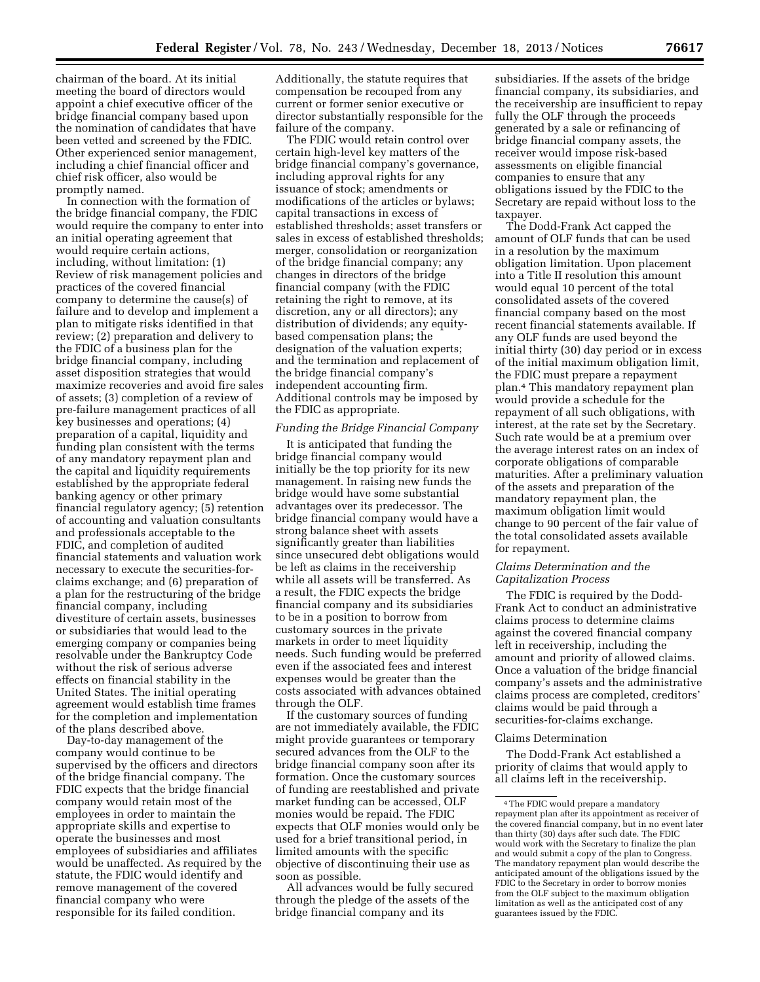chairman of the board. At its initial meeting the board of directors would appoint a chief executive officer of the bridge financial company based upon the nomination of candidates that have been vetted and screened by the FDIC. Other experienced senior management, including a chief financial officer and chief risk officer, also would be promptly named.

In connection with the formation of the bridge financial company, the FDIC would require the company to enter into an initial operating agreement that would require certain actions, including, without limitation: (1) Review of risk management policies and practices of the covered financial company to determine the cause(s) of failure and to develop and implement a plan to mitigate risks identified in that review; (2) preparation and delivery to the FDIC of a business plan for the bridge financial company, including asset disposition strategies that would maximize recoveries and avoid fire sales of assets; (3) completion of a review of pre-failure management practices of all key businesses and operations; (4) preparation of a capital, liquidity and funding plan consistent with the terms of any mandatory repayment plan and the capital and liquidity requirements established by the appropriate federal banking agency or other primary financial regulatory agency; (5) retention of accounting and valuation consultants and professionals acceptable to the FDIC, and completion of audited financial statements and valuation work necessary to execute the securities-forclaims exchange; and (6) preparation of a plan for the restructuring of the bridge financial company, including divestiture of certain assets, businesses or subsidiaries that would lead to the emerging company or companies being resolvable under the Bankruptcy Code without the risk of serious adverse effects on financial stability in the United States. The initial operating agreement would establish time frames for the completion and implementation of the plans described above.

Day-to-day management of the company would continue to be supervised by the officers and directors of the bridge financial company. The FDIC expects that the bridge financial company would retain most of the employees in order to maintain the appropriate skills and expertise to operate the businesses and most employees of subsidiaries and affiliates would be unaffected. As required by the statute, the FDIC would identify and remove management of the covered financial company who were responsible for its failed condition.

Additionally, the statute requires that compensation be recouped from any current or former senior executive or director substantially responsible for the failure of the company.

The FDIC would retain control over certain high-level key matters of the bridge financial company's governance, including approval rights for any issuance of stock; amendments or modifications of the articles or bylaws; capital transactions in excess of established thresholds; asset transfers or sales in excess of established thresholds; merger, consolidation or reorganization of the bridge financial company; any changes in directors of the bridge financial company (with the FDIC retaining the right to remove, at its discretion, any or all directors); any distribution of dividends; any equitybased compensation plans; the designation of the valuation experts; and the termination and replacement of the bridge financial company's independent accounting firm. Additional controls may be imposed by the FDIC as appropriate.

## *Funding the Bridge Financial Company*

It is anticipated that funding the bridge financial company would initially be the top priority for its new management. In raising new funds the bridge would have some substantial advantages over its predecessor. The bridge financial company would have a strong balance sheet with assets significantly greater than liabilities since unsecured debt obligations would be left as claims in the receivership while all assets will be transferred. As a result, the FDIC expects the bridge financial company and its subsidiaries to be in a position to borrow from customary sources in the private markets in order to meet liquidity needs. Such funding would be preferred even if the associated fees and interest expenses would be greater than the costs associated with advances obtained through the OLF.

If the customary sources of funding are not immediately available, the FDIC might provide guarantees or temporary secured advances from the OLF to the bridge financial company soon after its formation. Once the customary sources of funding are reestablished and private market funding can be accessed, OLF monies would be repaid. The FDIC expects that OLF monies would only be used for a brief transitional period, in limited amounts with the specific objective of discontinuing their use as soon as possible.

All advances would be fully secured through the pledge of the assets of the bridge financial company and its

subsidiaries. If the assets of the bridge financial company, its subsidiaries, and the receivership are insufficient to repay fully the OLF through the proceeds generated by a sale or refinancing of bridge financial company assets, the receiver would impose risk-based assessments on eligible financial companies to ensure that any obligations issued by the FDIC to the Secretary are repaid without loss to the taxpayer.

The Dodd-Frank Act capped the amount of OLF funds that can be used in a resolution by the maximum obligation limitation. Upon placement into a Title II resolution this amount would equal 10 percent of the total consolidated assets of the covered financial company based on the most recent financial statements available. If any OLF funds are used beyond the initial thirty (30) day period or in excess of the initial maximum obligation limit, the FDIC must prepare a repayment plan.4 This mandatory repayment plan would provide a schedule for the repayment of all such obligations, with interest, at the rate set by the Secretary. Such rate would be at a premium over the average interest rates on an index of corporate obligations of comparable maturities. After a preliminary valuation of the assets and preparation of the mandatory repayment plan, the maximum obligation limit would change to 90 percent of the fair value of the total consolidated assets available for repayment.

## *Claims Determination and the Capitalization Process*

The FDIC is required by the Dodd-Frank Act to conduct an administrative claims process to determine claims against the covered financial company left in receivership, including the amount and priority of allowed claims. Once a valuation of the bridge financial company's assets and the administrative claims process are completed, creditors' claims would be paid through a securities-for-claims exchange.

#### Claims Determination

The Dodd-Frank Act established a priority of claims that would apply to all claims left in the receivership.

<sup>4</sup>The FDIC would prepare a mandatory repayment plan after its appointment as receiver of the covered financial company, but in no event later than thirty (30) days after such date. The FDIC would work with the Secretary to finalize the plan and would submit a copy of the plan to Congress. The mandatory repayment plan would describe the anticipated amount of the obligations issued by the FDIC to the Secretary in order to borrow monies from the OLF subject to the maximum obligation limitation as well as the anticipated cost of any guarantees issued by the FDIC.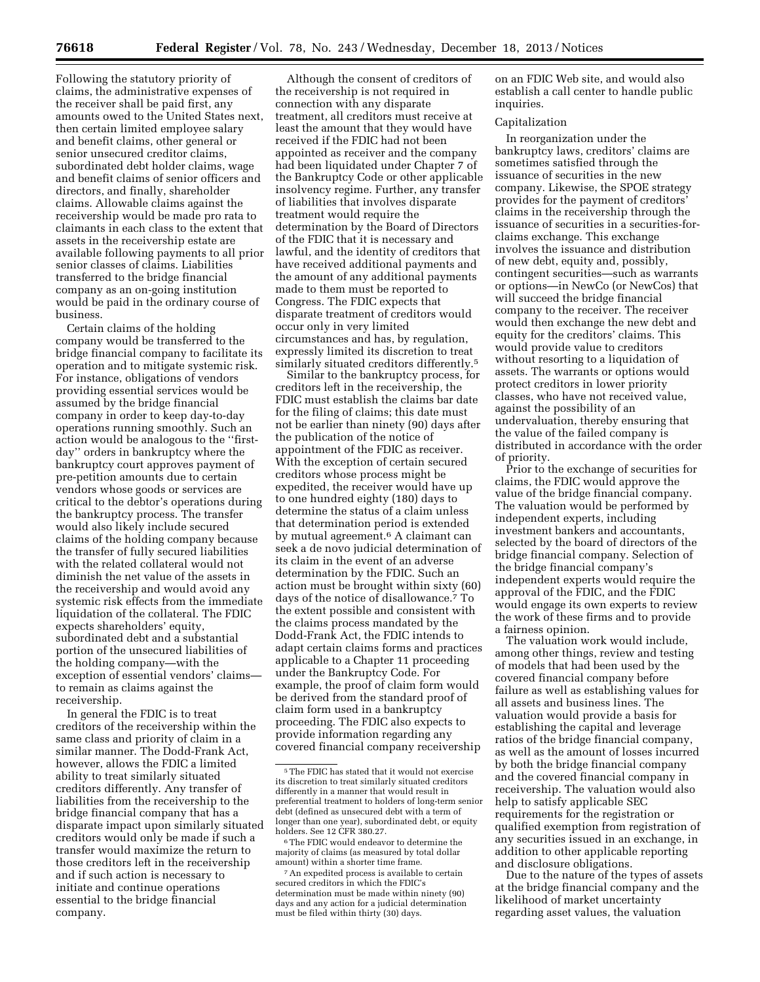Following the statutory priority of claims, the administrative expenses of the receiver shall be paid first, any amounts owed to the United States next, then certain limited employee salary and benefit claims, other general or senior unsecured creditor claims, subordinated debt holder claims, wage and benefit claims of senior officers and directors, and finally, shareholder claims. Allowable claims against the receivership would be made pro rata to claimants in each class to the extent that assets in the receivership estate are available following payments to all prior senior classes of claims. Liabilities transferred to the bridge financial company as an on-going institution would be paid in the ordinary course of business.

Certain claims of the holding company would be transferred to the bridge financial company to facilitate its operation and to mitigate systemic risk. For instance, obligations of vendors providing essential services would be assumed by the bridge financial company in order to keep day-to-day operations running smoothly. Such an action would be analogous to the ''firstday'' orders in bankruptcy where the bankruptcy court approves payment of pre-petition amounts due to certain vendors whose goods or services are critical to the debtor's operations during the bankruptcy process. The transfer would also likely include secured claims of the holding company because the transfer of fully secured liabilities with the related collateral would not diminish the net value of the assets in the receivership and would avoid any systemic risk effects from the immediate liquidation of the collateral. The FDIC expects shareholders' equity, subordinated debt and a substantial portion of the unsecured liabilities of the holding company—with the exception of essential vendors' claims to remain as claims against the receivership.

In general the FDIC is to treat creditors of the receivership within the same class and priority of claim in a similar manner. The Dodd-Frank Act, however, allows the FDIC a limited ability to treat similarly situated creditors differently. Any transfer of liabilities from the receivership to the bridge financial company that has a disparate impact upon similarly situated creditors would only be made if such a transfer would maximize the return to those creditors left in the receivership and if such action is necessary to initiate and continue operations essential to the bridge financial company.

Although the consent of creditors of the receivership is not required in connection with any disparate treatment, all creditors must receive at least the amount that they would have received if the FDIC had not been appointed as receiver and the company had been liquidated under Chapter 7 of the Bankruptcy Code or other applicable insolvency regime. Further, any transfer of liabilities that involves disparate treatment would require the determination by the Board of Directors of the FDIC that it is necessary and lawful, and the identity of creditors that have received additional payments and the amount of any additional payments made to them must be reported to Congress. The FDIC expects that disparate treatment of creditors would occur only in very limited circumstances and has, by regulation, expressly limited its discretion to treat similarly situated creditors differently.<sup>5</sup>

Similar to the bankruptcy process, for creditors left in the receivership, the FDIC must establish the claims bar date for the filing of claims; this date must not be earlier than ninety (90) days after the publication of the notice of appointment of the FDIC as receiver. With the exception of certain secured creditors whose process might be expedited, the receiver would have up to one hundred eighty (180) days to determine the status of a claim unless that determination period is extended by mutual agreement.6 A claimant can seek a de novo judicial determination of its claim in the event of an adverse determination by the FDIC. Such an action must be brought within sixty (60) days of the notice of disallowance.7 To the extent possible and consistent with the claims process mandated by the Dodd-Frank Act, the FDIC intends to adapt certain claims forms and practices applicable to a Chapter 11 proceeding under the Bankruptcy Code. For example, the proof of claim form would be derived from the standard proof of claim form used in a bankruptcy proceeding. The FDIC also expects to provide information regarding any covered financial company receivership

on an FDIC Web site, and would also establish a call center to handle public inquiries.

## Capitalization

In reorganization under the bankruptcy laws, creditors' claims are sometimes satisfied through the issuance of securities in the new company. Likewise, the SPOE strategy provides for the payment of creditors' claims in the receivership through the issuance of securities in a securities-forclaims exchange. This exchange involves the issuance and distribution of new debt, equity and, possibly, contingent securities—such as warrants or options—in NewCo (or NewCos) that will succeed the bridge financial company to the receiver. The receiver would then exchange the new debt and equity for the creditors' claims. This would provide value to creditors without resorting to a liquidation of assets. The warrants or options would protect creditors in lower priority classes, who have not received value, against the possibility of an undervaluation, thereby ensuring that the value of the failed company is distributed in accordance with the order of priority.

Prior to the exchange of securities for claims, the FDIC would approve the value of the bridge financial company. The valuation would be performed by independent experts, including investment bankers and accountants, selected by the board of directors of the bridge financial company. Selection of the bridge financial company's independent experts would require the approval of the FDIC, and the FDIC would engage its own experts to review the work of these firms and to provide a fairness opinion.

The valuation work would include, among other things, review and testing of models that had been used by the covered financial company before failure as well as establishing values for all assets and business lines. The valuation would provide a basis for establishing the capital and leverage ratios of the bridge financial company, as well as the amount of losses incurred by both the bridge financial company and the covered financial company in receivership. The valuation would also help to satisfy applicable SEC requirements for the registration or qualified exemption from registration of any securities issued in an exchange, in addition to other applicable reporting and disclosure obligations.

Due to the nature of the types of assets at the bridge financial company and the likelihood of market uncertainty regarding asset values, the valuation

<sup>5</sup>The FDIC has stated that it would not exercise its discretion to treat similarly situated creditors differently in a manner that would result in preferential treatment to holders of long-term senior debt (defined as unsecured debt with a term of longer than one year), subordinated debt, or equity holders. See 12 CFR 380.27.

<sup>6</sup>The FDIC would endeavor to determine the majority of claims (as measured by total dollar amount) within a shorter time frame.

<sup>7</sup>An expedited process is available to certain secured creditors in which the FDIC's determination must be made within ninety (90) days and any action for a judicial determination must be filed within thirty (30) days.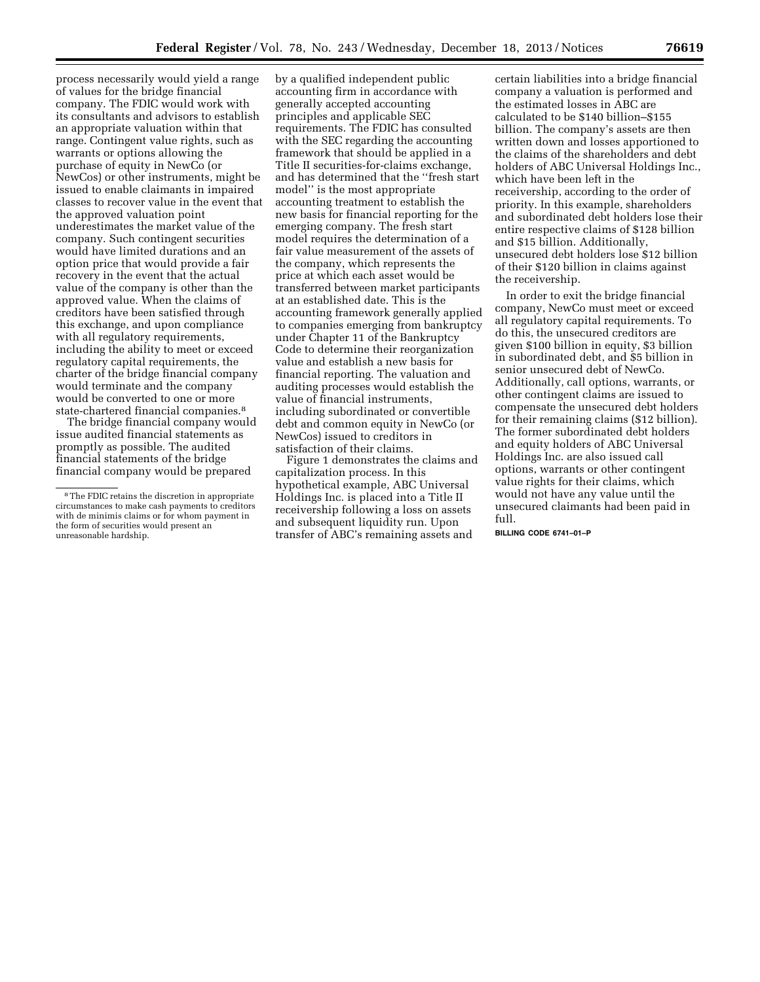process necessarily would yield a range of values for the bridge financial company. The FDIC would work with its consultants and advisors to establish an appropriate valuation within that range. Contingent value rights, such as warrants or options allowing the purchase of equity in NewCo (or NewCos) or other instruments, might be issued to enable claimants in impaired classes to recover value in the event that the approved valuation point underestimates the market value of the company. Such contingent securities would have limited durations and an option price that would provide a fair recovery in the event that the actual value of the company is other than the approved value. When the claims of creditors have been satisfied through this exchange, and upon compliance with all regulatory requirements, including the ability to meet or exceed regulatory capital requirements, the charter of the bridge financial company would terminate and the company would be converted to one or more state-chartered financial companies.8

The bridge financial company would issue audited financial statements as promptly as possible. The audited financial statements of the bridge financial company would be prepared

by a qualified independent public accounting firm in accordance with generally accepted accounting principles and applicable SEC requirements. The FDIC has consulted with the SEC regarding the accounting framework that should be applied in a Title II securities-for-claims exchange, and has determined that the ''fresh start model'' is the most appropriate accounting treatment to establish the new basis for financial reporting for the emerging company. The fresh start model requires the determination of a fair value measurement of the assets of the company, which represents the price at which each asset would be transferred between market participants at an established date. This is the accounting framework generally applied to companies emerging from bankruptcy under Chapter 11 of the Bankruptcy Code to determine their reorganization value and establish a new basis for financial reporting. The valuation and auditing processes would establish the value of financial instruments, including subordinated or convertible debt and common equity in NewCo (or NewCos) issued to creditors in satisfaction of their claims.

Figure 1 demonstrates the claims and capitalization process. In this hypothetical example, ABC Universal Holdings Inc. is placed into a Title II receivership following a loss on assets and subsequent liquidity run. Upon transfer of ABC's remaining assets and

certain liabilities into a bridge financial company a valuation is performed and the estimated losses in ABC are calculated to be \$140 billion–\$155 billion. The company's assets are then written down and losses apportioned to the claims of the shareholders and debt holders of ABC Universal Holdings Inc., which have been left in the receivership, according to the order of priority. In this example, shareholders and subordinated debt holders lose their entire respective claims of \$128 billion and \$15 billion. Additionally, unsecured debt holders lose \$12 billion of their \$120 billion in claims against the receivership.

In order to exit the bridge financial company, NewCo must meet or exceed all regulatory capital requirements. To do this, the unsecured creditors are given \$100 billion in equity, \$3 billion in subordinated debt, and \$5 billion in senior unsecured debt of NewCo. Additionally, call options, warrants, or other contingent claims are issued to compensate the unsecured debt holders for their remaining claims (\$12 billion). The former subordinated debt holders and equity holders of ABC Universal Holdings Inc. are also issued call options, warrants or other contingent value rights for their claims, which would not have any value until the unsecured claimants had been paid in full.

**BILLING CODE 6741–01–P** 

<sup>8</sup>The FDIC retains the discretion in appropriate circumstances to make cash payments to creditors with de minimis claims or for whom payment in the form of securities would present an unreasonable hardship.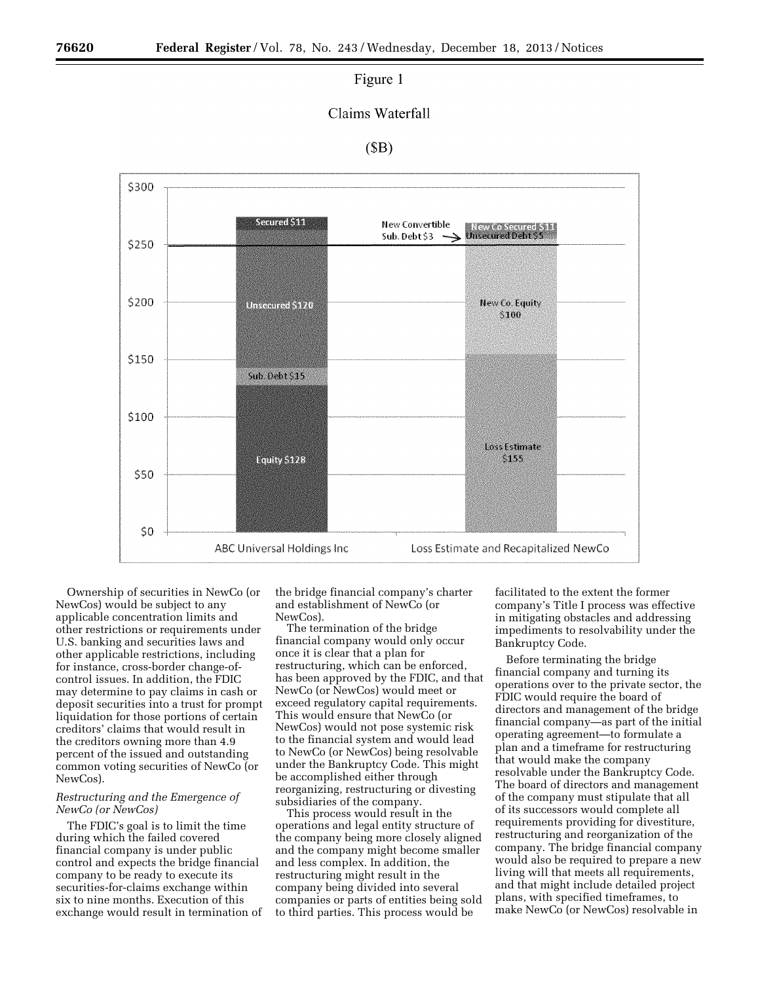## Figure 1

## Claims Waterfall

## $(SB)$



Ownership of securities in NewCo (or NewCos) would be subject to any applicable concentration limits and other restrictions or requirements under U.S. banking and securities laws and other applicable restrictions, including for instance, cross-border change-ofcontrol issues. In addition, the FDIC may determine to pay claims in cash or deposit securities into a trust for prompt liquidation for those portions of certain creditors' claims that would result in the creditors owning more than 4.9 percent of the issued and outstanding common voting securities of NewCo (or NewCos).

## *Restructuring and the Emergence of NewCo (or NewCos)*

The FDIC's goal is to limit the time during which the failed covered financial company is under public control and expects the bridge financial company to be ready to execute its securities-for-claims exchange within six to nine months. Execution of this exchange would result in termination of the bridge financial company's charter and establishment of NewCo (or NewCos).

The termination of the bridge financial company would only occur once it is clear that a plan for restructuring, which can be enforced, has been approved by the FDIC, and that NewCo (or NewCos) would meet or exceed regulatory capital requirements. This would ensure that NewCo (or NewCos) would not pose systemic risk to the financial system and would lead to NewCo (or NewCos) being resolvable under the Bankruptcy Code. This might be accomplished either through reorganizing, restructuring or divesting subsidiaries of the company.

This process would result in the operations and legal entity structure of the company being more closely aligned and the company might become smaller and less complex. In addition, the restructuring might result in the company being divided into several companies or parts of entities being sold to third parties. This process would be

facilitated to the extent the former company's Title I process was effective in mitigating obstacles and addressing impediments to resolvability under the Bankruptcy Code.

Before terminating the bridge financial company and turning its operations over to the private sector, the FDIC would require the board of directors and management of the bridge financial company—as part of the initial operating agreement—to formulate a plan and a timeframe for restructuring that would make the company resolvable under the Bankruptcy Code. The board of directors and management of the company must stipulate that all of its successors would complete all requirements providing for divestiture, restructuring and reorganization of the company. The bridge financial company would also be required to prepare a new living will that meets all requirements, and that might include detailed project plans, with specified timeframes, to make NewCo (or NewCos) resolvable in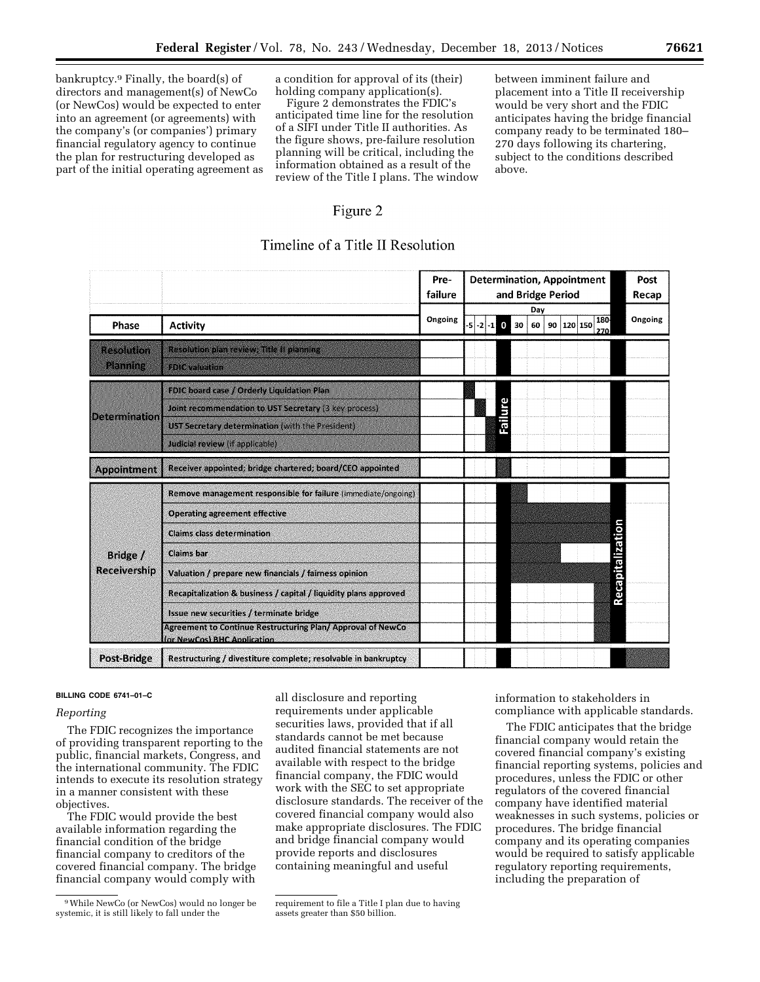bankruptcy.9 Finally, the board(s) of directors and management(s) of NewCo (or NewCos) would be expected to enter into an agreement (or agreements) with the company's (or companies') primary financial regulatory agency to continue the plan for restructuring developed as part of the initial operating agreement as a condition for approval of its (their) holding company application(s).

Figure 2 demonstrates the FDIC's anticipated time line for the resolution of a SIFI under Title II authorities. As the figure shows, pre-failure resolution planning will be critical, including the information obtained as a result of the review of the Title I plans. The window between imminent failure and placement into a Title II receivership would be very short and the FDIC anticipates having the bridge financial company ready to be terminated 180– 270 days following its chartering, subject to the conditions described above.

# Figure 2

# Timeline of a Title II Resolution

|                                 |                                                                                                                                                                                                           | Pre-<br>failure | <b>Determination, Appointment</b><br>and Bridge Period          | Post<br>Recap |
|---------------------------------|-----------------------------------------------------------------------------------------------------------------------------------------------------------------------------------------------------------|-----------------|-----------------------------------------------------------------|---------------|
| Phase                           | <b>Activity</b>                                                                                                                                                                                           | Ongoing         | Day<br>180<br>$-5$ $-2$ $-1$ 0 30<br>120 150<br>90<br>60<br>270 | Ongoing       |
| Resolution<br>Planning          | Resolution plan review; Title II planning<br><b>Rollevaluation</b>                                                                                                                                        |                 |                                                                 |               |
| <b>Determination</b>            | FDIC board case / Orderly Liquidation Plan<br>Joint recommendation to UST Secretary (3 key process)<br>UST Secretary determination (with the President)<br>Judicial review (if applicable)                |                 | Failure                                                         |               |
| <b>Appointment</b>              | Receiver appointed; bridge chartered; board/CEO appointed                                                                                                                                                 |                 |                                                                 |               |
| Bridge /<br><b>Receivership</b> | Remove management responsible for failure (immediate/ongoing)<br><b>Operating agreement effective</b><br><b>Claims class determination</b>                                                                |                 |                                                                 |               |
|                                 | <b>Claims</b> bar<br>Valuation / prepare new financials / fairness opinion                                                                                                                                |                 | Recapitalizatio                                                 |               |
|                                 | Recapitalization & business / capital / liquidity plans approved<br>Issue new securities / terminate bridge<br>Agreement to Continue Restructuring Plan/ Approval of NewCo<br>(or NewCos) BHC Application |                 |                                                                 |               |
| Post-Bridge                     | Restructuring / divestiture complete; resolvable in bankruptcy                                                                                                                                            |                 |                                                                 |               |

#### **BILLING CODE 6741–01–C**

## *Reporting*

The FDIC recognizes the importance of providing transparent reporting to the public, financial markets, Congress, and the international community. The FDIC intends to execute its resolution strategy in a manner consistent with these objectives.

The FDIC would provide the best available information regarding the financial condition of the bridge financial company to creditors of the covered financial company. The bridge financial company would comply with

all disclosure and reporting requirements under applicable securities laws, provided that if all standards cannot be met because audited financial statements are not available with respect to the bridge financial company, the FDIC would work with the SEC to set appropriate disclosure standards. The receiver of the covered financial company would also make appropriate disclosures. The FDIC and bridge financial company would provide reports and disclosures containing meaningful and useful

information to stakeholders in compliance with applicable standards.

The FDIC anticipates that the bridge financial company would retain the covered financial company's existing financial reporting systems, policies and procedures, unless the FDIC or other regulators of the covered financial company have identified material weaknesses in such systems, policies or procedures. The bridge financial company and its operating companies would be required to satisfy applicable regulatory reporting requirements, including the preparation of

<sup>9</sup>While NewCo (or NewCos) would no longer be systemic, it is still likely to fall under the

requirement to file a Title I plan due to having assets greater than \$50 billion.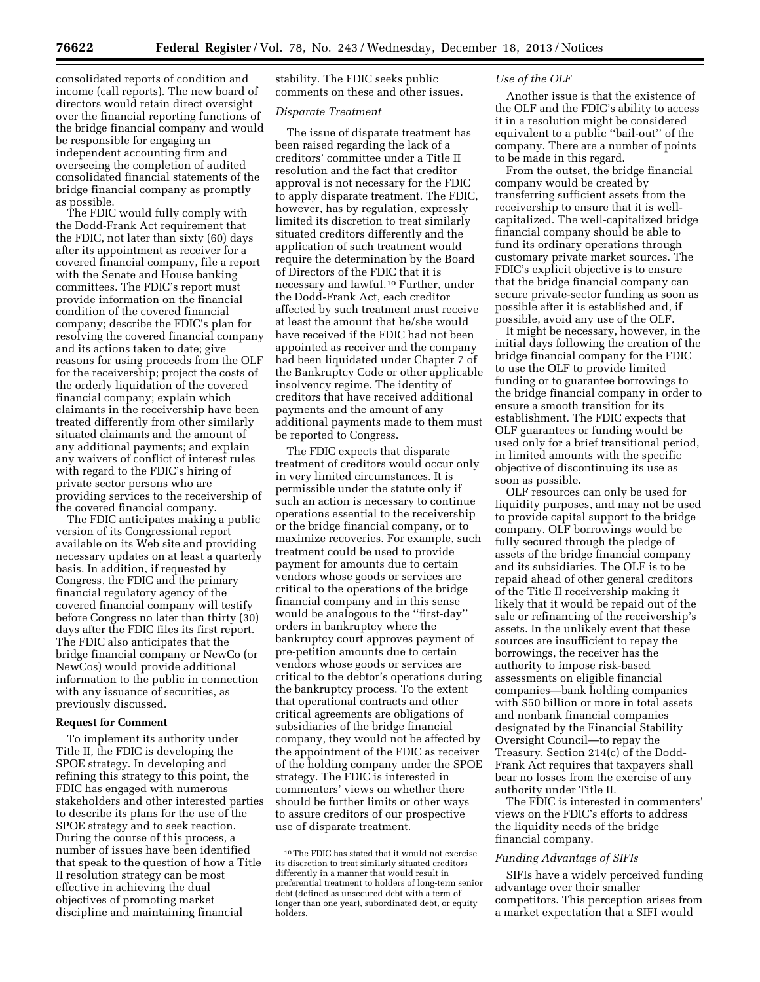consolidated reports of condition and income (call reports). The new board of directors would retain direct oversight over the financial reporting functions of the bridge financial company and would be responsible for engaging an independent accounting firm and overseeing the completion of audited consolidated financial statements of the bridge financial company as promptly as possible.

The FDIC would fully comply with the Dodd-Frank Act requirement that the FDIC, not later than sixty (60) days after its appointment as receiver for a covered financial company, file a report with the Senate and House banking committees. The FDIC's report must provide information on the financial condition of the covered financial company; describe the FDIC's plan for resolving the covered financial company and its actions taken to date; give reasons for using proceeds from the OLF for the receivership; project the costs of the orderly liquidation of the covered financial company; explain which claimants in the receivership have been treated differently from other similarly situated claimants and the amount of any additional payments; and explain any waivers of conflict of interest rules with regard to the FDIC's hiring of private sector persons who are providing services to the receivership of the covered financial company.

The FDIC anticipates making a public version of its Congressional report available on its Web site and providing necessary updates on at least a quarterly basis. In addition, if requested by Congress, the FDIC and the primary financial regulatory agency of the covered financial company will testify before Congress no later than thirty (30) days after the FDIC files its first report. The FDIC also anticipates that the bridge financial company or NewCo (or NewCos) would provide additional information to the public in connection with any issuance of securities, as previously discussed.

#### **Request for Comment**

To implement its authority under Title II, the FDIC is developing the SPOE strategy. In developing and refining this strategy to this point, the FDIC has engaged with numerous stakeholders and other interested parties to describe its plans for the use of the SPOE strategy and to seek reaction. During the course of this process, a number of issues have been identified that speak to the question of how a Title II resolution strategy can be most effective in achieving the dual objectives of promoting market discipline and maintaining financial

stability. The FDIC seeks public comments on these and other issues.

## *Disparate Treatment*

The issue of disparate treatment has been raised regarding the lack of a creditors' committee under a Title II resolution and the fact that creditor approval is not necessary for the FDIC to apply disparate treatment. The FDIC, however, has by regulation, expressly limited its discretion to treat similarly situated creditors differently and the application of such treatment would require the determination by the Board of Directors of the FDIC that it is necessary and lawful.10 Further, under the Dodd-Frank Act, each creditor affected by such treatment must receive at least the amount that he/she would have received if the FDIC had not been appointed as receiver and the company had been liquidated under Chapter 7 of the Bankruptcy Code or other applicable insolvency regime. The identity of creditors that have received additional payments and the amount of any additional payments made to them must be reported to Congress.

The FDIC expects that disparate treatment of creditors would occur only in very limited circumstances. It is permissible under the statute only if such an action is necessary to continue operations essential to the receivership or the bridge financial company, or to maximize recoveries. For example, such treatment could be used to provide payment for amounts due to certain vendors whose goods or services are critical to the operations of the bridge financial company and in this sense would be analogous to the ''first-day'' orders in bankruptcy where the bankruptcy court approves payment of pre-petition amounts due to certain vendors whose goods or services are critical to the debtor's operations during the bankruptcy process. To the extent that operational contracts and other critical agreements are obligations of subsidiaries of the bridge financial company, they would not be affected by the appointment of the FDIC as receiver of the holding company under the SPOE strategy. The FDIC is interested in commenters' views on whether there should be further limits or other ways to assure creditors of our prospective use of disparate treatment.

## *Use of the OLF*

Another issue is that the existence of the OLF and the FDIC's ability to access it in a resolution might be considered equivalent to a public ''bail-out'' of the company. There are a number of points to be made in this regard.

From the outset, the bridge financial company would be created by transferring sufficient assets from the receivership to ensure that it is wellcapitalized. The well-capitalized bridge financial company should be able to fund its ordinary operations through customary private market sources. The FDIC's explicit objective is to ensure that the bridge financial company can secure private-sector funding as soon as possible after it is established and, if possible, avoid any use of the OLF.

It might be necessary, however, in the initial days following the creation of the bridge financial company for the FDIC to use the OLF to provide limited funding or to guarantee borrowings to the bridge financial company in order to ensure a smooth transition for its establishment. The FDIC expects that OLF guarantees or funding would be used only for a brief transitional period, in limited amounts with the specific objective of discontinuing its use as soon as possible.

OLF resources can only be used for liquidity purposes, and may not be used to provide capital support to the bridge company. OLF borrowings would be fully secured through the pledge of assets of the bridge financial company and its subsidiaries. The OLF is to be repaid ahead of other general creditors of the Title II receivership making it likely that it would be repaid out of the sale or refinancing of the receivership's assets. In the unlikely event that these sources are insufficient to repay the borrowings, the receiver has the authority to impose risk-based assessments on eligible financial companies—bank holding companies with \$50 billion or more in total assets and nonbank financial companies designated by the Financial Stability Oversight Council—to repay the Treasury. Section 214(c) of the Dodd-Frank Act requires that taxpayers shall bear no losses from the exercise of any authority under Title II.

The FDIC is interested in commenters' views on the FDIC's efforts to address the liquidity needs of the bridge financial company.

## *Funding Advantage of SIFIs*

SIFIs have a widely perceived funding advantage over their smaller competitors. This perception arises from a market expectation that a SIFI would

<sup>10</sup>The FDIC has stated that it would not exercise its discretion to treat similarly situated creditors differently in a manner that would result in preferential treatment to holders of long-term senior debt (defined as unsecured debt with a term of longer than one year), subordinated debt, or equity holders.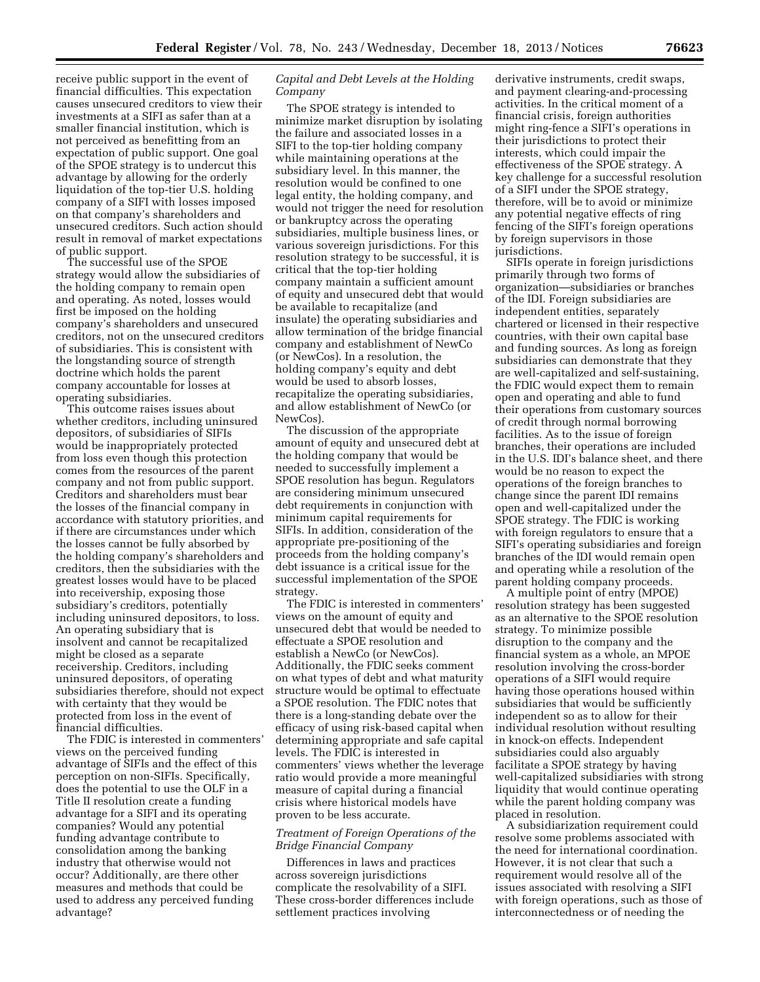receive public support in the event of financial difficulties. This expectation causes unsecured creditors to view their investments at a SIFI as safer than at a smaller financial institution, which is not perceived as benefitting from an expectation of public support. One goal of the SPOE strategy is to undercut this advantage by allowing for the orderly liquidation of the top-tier U.S. holding company of a SIFI with losses imposed on that company's shareholders and unsecured creditors. Such action should result in removal of market expectations of public support.

The successful use of the SPOE strategy would allow the subsidiaries of the holding company to remain open and operating. As noted, losses would first be imposed on the holding company's shareholders and unsecured creditors, not on the unsecured creditors of subsidiaries. This is consistent with the longstanding source of strength doctrine which holds the parent company accountable for losses at operating subsidiaries.

This outcome raises issues about whether creditors, including uninsured depositors, of subsidiaries of SIFIs would be inappropriately protected from loss even though this protection comes from the resources of the parent company and not from public support. Creditors and shareholders must bear the losses of the financial company in accordance with statutory priorities, and if there are circumstances under which the losses cannot be fully absorbed by the holding company's shareholders and creditors, then the subsidiaries with the greatest losses would have to be placed into receivership, exposing those subsidiary's creditors, potentially including uninsured depositors, to loss. An operating subsidiary that is insolvent and cannot be recapitalized might be closed as a separate receivership. Creditors, including uninsured depositors, of operating subsidiaries therefore, should not expect with certainty that they would be protected from loss in the event of financial difficulties.

The FDIC is interested in commenters' views on the perceived funding advantage of SIFIs and the effect of this perception on non-SIFIs. Specifically, does the potential to use the OLF in a Title II resolution create a funding advantage for a SIFI and its operating companies? Would any potential funding advantage contribute to consolidation among the banking industry that otherwise would not occur? Additionally, are there other measures and methods that could be used to address any perceived funding advantage?

## *Capital and Debt Levels at the Holding Company*

The SPOE strategy is intended to minimize market disruption by isolating the failure and associated losses in a SIFI to the top-tier holding company while maintaining operations at the subsidiary level. In this manner, the resolution would be confined to one legal entity, the holding company, and would not trigger the need for resolution or bankruptcy across the operating subsidiaries, multiple business lines, or various sovereign jurisdictions. For this resolution strategy to be successful, it is critical that the top-tier holding company maintain a sufficient amount of equity and unsecured debt that would be available to recapitalize (and insulate) the operating subsidiaries and allow termination of the bridge financial company and establishment of NewCo (or NewCos). In a resolution, the holding company's equity and debt would be used to absorb losses, recapitalize the operating subsidiaries, and allow establishment of NewCo (or NewCos).

The discussion of the appropriate amount of equity and unsecured debt at the holding company that would be needed to successfully implement a SPOE resolution has begun. Regulators are considering minimum unsecured debt requirements in conjunction with minimum capital requirements for SIFIs. In addition, consideration of the appropriate pre-positioning of the proceeds from the holding company's debt issuance is a critical issue for the successful implementation of the SPOE strategy.

The FDIC is interested in commenters' views on the amount of equity and unsecured debt that would be needed to effectuate a SPOE resolution and establish a NewCo (or NewCos). Additionally, the FDIC seeks comment on what types of debt and what maturity structure would be optimal to effectuate a SPOE resolution. The FDIC notes that there is a long-standing debate over the efficacy of using risk-based capital when determining appropriate and safe capital levels. The FDIC is interested in commenters' views whether the leverage ratio would provide a more meaningful measure of capital during a financial crisis where historical models have proven to be less accurate.

## *Treatment of Foreign Operations of the Bridge Financial Company*

Differences in laws and practices across sovereign jurisdictions complicate the resolvability of a SIFI. These cross-border differences include settlement practices involving

derivative instruments, credit swaps, and payment clearing-and-processing activities. In the critical moment of a financial crisis, foreign authorities might ring-fence a SIFI's operations in their jurisdictions to protect their interests, which could impair the effectiveness of the SPOE strategy. A key challenge for a successful resolution of a SIFI under the SPOE strategy, therefore, will be to avoid or minimize any potential negative effects of ring fencing of the SIFI's foreign operations by foreign supervisors in those jurisdictions.

SIFIs operate in foreign jurisdictions primarily through two forms of organization—subsidiaries or branches of the IDI. Foreign subsidiaries are independent entities, separately chartered or licensed in their respective countries, with their own capital base and funding sources. As long as foreign subsidiaries can demonstrate that they are well-capitalized and self-sustaining, the FDIC would expect them to remain open and operating and able to fund their operations from customary sources of credit through normal borrowing facilities. As to the issue of foreign branches, their operations are included in the U.S. IDI's balance sheet, and there would be no reason to expect the operations of the foreign branches to change since the parent IDI remains open and well-capitalized under the SPOE strategy. The FDIC is working with foreign regulators to ensure that a SIFI's operating subsidiaries and foreign branches of the IDI would remain open and operating while a resolution of the parent holding company proceeds.

A multiple point of entry (MPOE) resolution strategy has been suggested as an alternative to the SPOE resolution strategy. To minimize possible disruption to the company and the financial system as a whole, an MPOE resolution involving the cross-border operations of a SIFI would require having those operations housed within subsidiaries that would be sufficiently independent so as to allow for their individual resolution without resulting in knock-on effects. Independent subsidiaries could also arguably facilitate a SPOE strategy by having well-capitalized subsidiaries with strong liquidity that would continue operating while the parent holding company was placed in resolution.

A subsidiarization requirement could resolve some problems associated with the need for international coordination. However, it is not clear that such a requirement would resolve all of the issues associated with resolving a SIFI with foreign operations, such as those of interconnectedness or of needing the